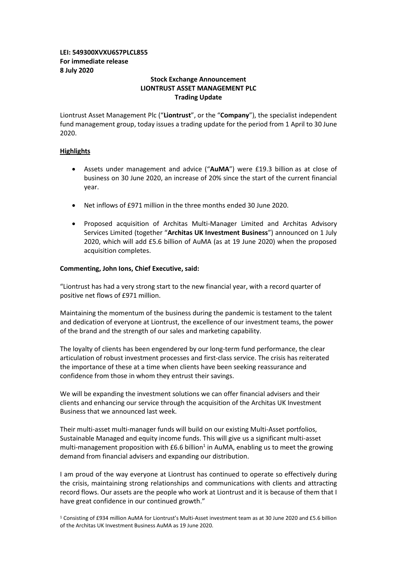# **LEI: 549300XVXU6S7PLCL855 For immediate release 8 July 2020**

# **Stock Exchange Announcement LIONTRUST ASSET MANAGEMENT PLC Trading Update**

Liontrust Asset Management Plc ("**Liontrust**", or the "**Company**"), the specialist independent fund management group, today issues a trading update for the period from 1 April to 30 June 2020.

# **Highlights**

- Assets under management and advice ("**AuMA**") were £19.3 billion as at close of business on 30 June 2020, an increase of 20% since the start of the current financial year.
- Net inflows of £971 million in the three months ended 30 June 2020.
- Proposed acquisition of Architas Multi-Manager Limited and Architas Advisory Services Limited (together "**Architas UK Investment Business**") announced on 1 July 2020, which will add £5.6 billion of AuMA (as at 19 June 2020) when the proposed acquisition completes.

### **Commenting, John Ions, Chief Executive, said:**

"Liontrust has had a very strong start to the new financial year, with a record quarter of positive net flows of £971 million.

Maintaining the momentum of the business during the pandemic is testament to the talent and dedication of everyone at Liontrust, the excellence of our investment teams, the power of the brand and the strength of our sales and marketing capability.

The loyalty of clients has been engendered by our long-term fund performance, the clear articulation of robust investment processes and first-class service. The crisis has reiterated the importance of these at a time when clients have been seeking reassurance and confidence from those in whom they entrust their savings.

We will be expanding the investment solutions we can offer financial advisers and their clients and enhancing our service through the acquisition of the Architas UK Investment Business that we announced last week.

Their multi-asset multi-manager funds will build on our existing Multi-Asset portfolios, Sustainable Managed and equity income funds. This will give us a significant multi-asset multi-management proposition with  $E6.6$  billion<sup>1</sup> in AuMA, enabling us to meet the growing demand from financial advisers and expanding our distribution.

I am proud of the way everyone at Liontrust has continued to operate so effectively during the crisis, maintaining strong relationships and communications with clients and attracting record flows. Our assets are the people who work at Liontrust and it is because of them that I have great confidence in our continued growth."

<sup>1</sup> Consisting of £934 million AuMA for Liontrust's Multi-Asset investment team as at 30 June 2020 and £5.6 billion of the Architas UK Investment Business AuMA as 19 June 2020.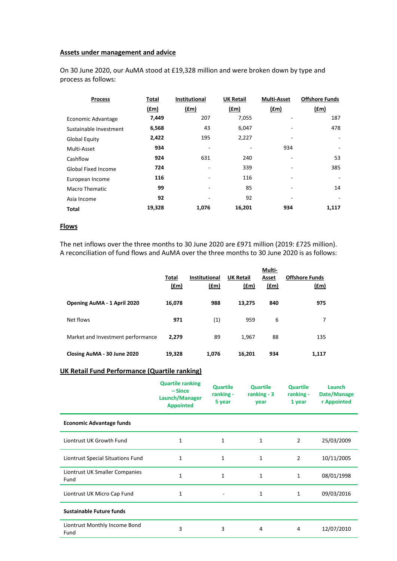### **Assets under management and advice**

On 30 June 2020, our AuMA stood at £19,328 million and were broken down by type and process as follows:

| <b>Process</b>             | Total       | Institutional            | <b>UK Retail</b> | <b>Multi-Asset</b> | <b>Offshore Funds</b>    |
|----------------------------|-------------|--------------------------|------------------|--------------------|--------------------------|
|                            | <u>(£m)</u> | (f.m)                    | $(\text{fm})$    | (fm)               | (fm)                     |
| Economic Advantage         | 7,449       | 207                      | 7,055            |                    | 187                      |
| Sustainable Investment     | 6,568       | 43                       | 6,047            |                    | 478                      |
| <b>Global Equity</b>       | 2,422       | 195                      | 2,227            |                    | ٠                        |
| Multi-Asset                | 934         |                          |                  | 934                | $\qquad \qquad -$        |
| Cashflow                   | 924         | 631                      | 240              |                    | 53                       |
| <b>Global Fixed Income</b> | 724         | $\overline{\phantom{0}}$ | 339              |                    | 385                      |
| European Income            | 116         |                          | 116              |                    | $\overline{\phantom{a}}$ |
| <b>Macro Thematic</b>      | 99          | $\overline{\phantom{0}}$ | 85               | ۰                  | 14                       |
| Asia Income                | 92          | $\overline{\phantom{0}}$ | 92               | -                  |                          |
| <b>Total</b>               | 19,328      | 1,076                    | 16,201           | 934                | 1,117                    |

#### **Flows**

The net inflows over the three months to 30 June 2020 are £971 million (2019: £725 million). A reconciliation of fund flows and AuMA over the three months to 30 June 2020 is as follows:

|                                   | Total<br>f(m) | <b>Institutional</b><br>(f.m) | <b>UK Retail</b><br>(f.m) | Multi-<br>Asset<br>(f.m) | <b>Offshore Funds</b><br><u>(£m)</u> |
|-----------------------------------|---------------|-------------------------------|---------------------------|--------------------------|--------------------------------------|
| Opening AuMA - 1 April 2020       | 16,078        | 988                           | 13,275                    | 840                      | 975                                  |
| Net flows                         | 971           | (1)                           | 959                       | 6                        | 7                                    |
| Market and Investment performance | 2,279         | 89                            | 1,967                     | 88                       | 135                                  |
| Closing AuMA - 30 June 2020       | 19,328        | 1,076                         | 16,201                    | 934                      | 1.117                                |

# **UK Retail Fund Performance (Quartile ranking)**

|                                        | <b>Quartile ranking</b><br>$-Since$<br>Launch/Manager<br><b>Appointed</b> | <b>Quartile</b><br>ranking -<br>5 year | <b>Quartile</b><br>ranking $-3$<br>year | <b>Quartile</b><br>ranking -<br>1 year | Launch<br>Date/Manage<br>r Appointed |
|----------------------------------------|---------------------------------------------------------------------------|----------------------------------------|-----------------------------------------|----------------------------------------|--------------------------------------|
| <b>Economic Advantage funds</b>        |                                                                           |                                        |                                         |                                        |                                      |
| Liontrust UK Growth Fund               | 1                                                                         | 1                                      | 1                                       | $\overline{2}$                         | 25/03/2009                           |
| Liontrust Special Situations Fund      | 1                                                                         | 1                                      | 1                                       | 2                                      | 10/11/2005                           |
| Liontrust UK Smaller Companies<br>Fund | 1                                                                         | $\mathbf{1}$                           | 1                                       | 1                                      | 08/01/1998                           |
| Liontrust UK Micro Cap Fund            | 1                                                                         |                                        | 1                                       | 1                                      | 09/03/2016                           |
| <b>Sustainable Future funds</b>        |                                                                           |                                        |                                         |                                        |                                      |
| Liontrust Monthly Income Bond<br>Fund  | 3                                                                         | 3                                      | 4                                       | 4                                      | 12/07/2010                           |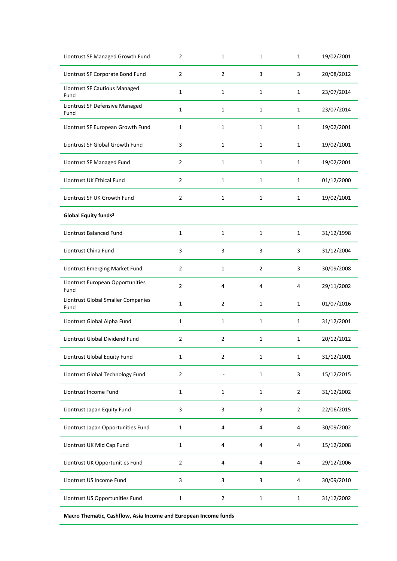| Liontrust SF Managed Growth Fund           | 2              | 1              | 1              | 1              | 19/02/2001 |
|--------------------------------------------|----------------|----------------|----------------|----------------|------------|
| Liontrust SF Corporate Bond Fund           | $\overline{2}$ | 2              | 3              | 3              | 20/08/2012 |
| Liontrust SF Cautious Managed<br>Fund      | $\mathbf{1}$   | $\mathbf{1}$   | $\mathbf{1}$   | 1              | 23/07/2014 |
| Liontrust SF Defensive Managed<br>Fund     | $\mathbf{1}$   | $\mathbf{1}$   | $\mathbf 1$    | $\mathbf{1}$   | 23/07/2014 |
| Liontrust SF European Growth Fund          | $\mathbf 1$    | $\mathbf{1}$   | $\mathbf 1$    | $\mathbf{1}$   | 19/02/2001 |
| Liontrust SF Global Growth Fund            | 3              | $\mathbf{1}$   | 1              | $\mathbf{1}$   | 19/02/2001 |
| Liontrust SF Managed Fund                  | $\overline{2}$ | $\mathbf{1}$   | 1              | $\mathbf{1}$   | 19/02/2001 |
| Liontrust UK Ethical Fund                  | $\overline{2}$ | 1              | 1              | 1              | 01/12/2000 |
| Liontrust SF UK Growth Fund                | $\overline{2}$ | $\mathbf{1}$   | $\mathbf{1}$   | $\mathbf{1}$   | 19/02/2001 |
| Global Equity funds <sup>2</sup>           |                |                |                |                |            |
| Liontrust Balanced Fund                    | $\mathbf 1$    | $\mathbf{1}$   | $\mathbf{1}$   | $\mathbf{1}$   | 31/12/1998 |
| Liontrust China Fund                       | 3              | 3              | 3              | 3              | 31/12/2004 |
| Liontrust Emerging Market Fund             | $\overline{2}$ | 1              | $\overline{2}$ | 3              | 30/09/2008 |
| Liontrust European Opportunities<br>Fund   | $\overline{2}$ | 4              | 4              | 4              | 29/11/2002 |
| Liontrust Global Smaller Companies<br>Fund | $\mathbf{1}$   | $\overline{2}$ | 1              | 1              | 01/07/2016 |
| Liontrust Global Alpha Fund                | $\mathbf{1}$   | $\mathbf{1}$   | $\mathbf{1}$   | $\mathbf{1}$   | 31/12/2001 |
| Liontrust Global Dividend Fund             | $\overline{2}$ | 2              | 1              | $\mathbf{1}$   | 20/12/2012 |
| Liontrust Global Equity Fund               | $\mathbf{1}$   | $\overline{2}$ | $\mathbf{1}$   | 1              | 31/12/2001 |
| Liontrust Global Technology Fund           | $\overline{2}$ |                | $\mathbf{1}$   | 3              | 15/12/2015 |
| Liontrust Income Fund                      | $\mathbf 1$    | $\mathbf{1}$   | $\mathbf 1$    | $\overline{2}$ | 31/12/2002 |
| Liontrust Japan Equity Fund                | 3              | 3              | 3              | $\overline{2}$ | 22/06/2015 |
| Liontrust Japan Opportunities Fund         | $\mathbf{1}$   | 4              | 4              | 4              | 30/09/2002 |
| Liontrust UK Mid Cap Fund                  | $\mathbf 1$    | $\overline{4}$ | 4              | 4              | 15/12/2008 |
| Liontrust UK Opportunities Fund            | $\overline{2}$ | $\overline{4}$ | 4              | 4              | 29/12/2006 |
| Liontrust US Income Fund                   | 3              | 3              | 3              | 4              | 30/09/2010 |
| Liontrust US Opportunities Fund            | $\mathbf{1}$   | 2              | $\mathbf{1}$   | $\mathbf{1}$   | 31/12/2002 |
|                                            |                |                |                |                |            |

**Macro Thematic, Cashflow, Asia Income and European Income funds**